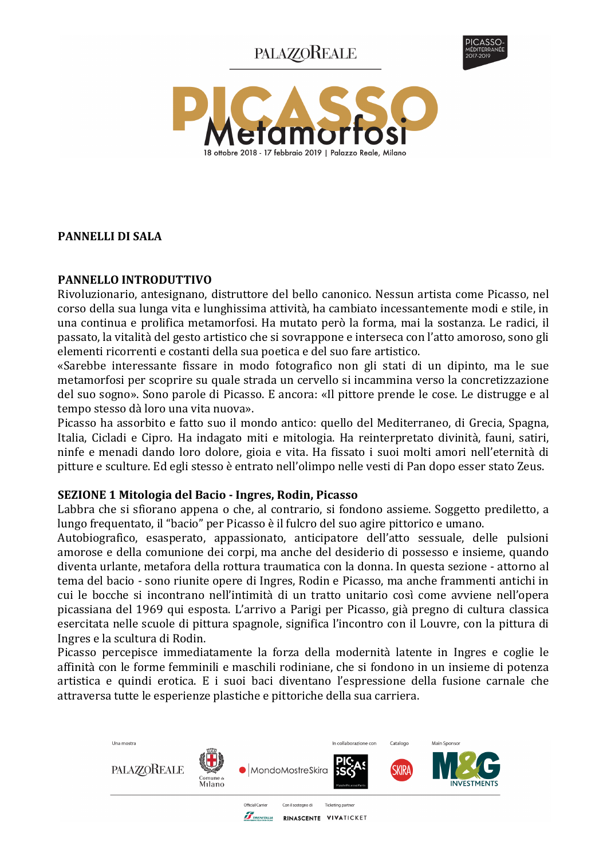# **PALAZZOREALE**





## **PANNELLI DI SALA**

## PANNELLO INTRODUTTIVO

Rivoluzionario, antesignano, distruttore del bello canonico. Nessun artista come Picasso, nel corso della sua lunga vita e lunghissima attività, ha cambiato incessantemente modi e stile, in una continua e prolifica metamorfosi. Ha mutato però la forma, mai la sostanza. Le radici, il passato, la vitalità del gesto artistico che si sovrappone e interseca con l'atto amoroso, sono gli elementi ricorrenti e costanti della sua poetica e del suo fare artistico.

«Sarebbe interessante fissare in modo fotografico non gli stati di un dipinto, ma le sue metamorfosi per scoprire su quale strada un cervello si incammina verso la concretizzazione del suo sogno». Sono parole di Picasso. E ancora: «Il pittore prende le cose. Le distrugge e al tempo stesso dà loro una vita nuova».

Picasso ha assorbito e fatto suo il mondo antico: quello del Mediterraneo, di Grecia, Spagna, Italia, Cicladi e Cipro. Ha indagato miti e mitologia. Ha reinterpretato divinità, fauni, satiri, ninfe e menadi dando loro dolore, gioia e vita. Ha fissato i suoi molti amori nell'eternità di pitture e sculture. Ed egli stesso è entrato nell'olimpo nelle vesti di Pan dopo esser stato Zeus.

#### SEZIONE 1 Mitologia del Bacio - Ingres, Rodin, Picasso

Labbra che si sfiorano appena o che, al contrario, si fondono assieme. Soggetto prediletto, a lungo frequentato, il "bacio" per Picasso è il fulcro del suo agire pittorico e umano.

Autobiografico, esasperato, appassionato, anticipatore dell'atto sessuale, delle pulsioni amorose e della comunione dei corpi, ma anche del desiderio di possesso e insieme, quando diventa urlante, metafora della rottura traumatica con la donna. In questa sezione - attorno al tema del bacio - sono riunite opere di Ingres, Rodin e Picasso, ma anche frammenti antichi in cui le bocche si incontrano nell'intimità di un tratto unitario così come avviene nell'opera picassiana del 1969 qui esposta. L'arrivo a Parigi per Picasso, già pregno di cultura classica esercitata nelle scuole di pittura spagnole, significa l'incontro con il Louvre, con la pittura di Ingres e la scultura di Rodin.

Picasso percepisce immediatamente la forza della modernità latente in Ingres e coglie le affinità con le forme femminili e maschili rodiniane, che si fondono in un insieme di potenza artistica e quindi erotica. E i suoi baci diventano l'espressione della fusione carnale che attraversa tutte le esperienze plastiche e pittoriche della sua carriera.

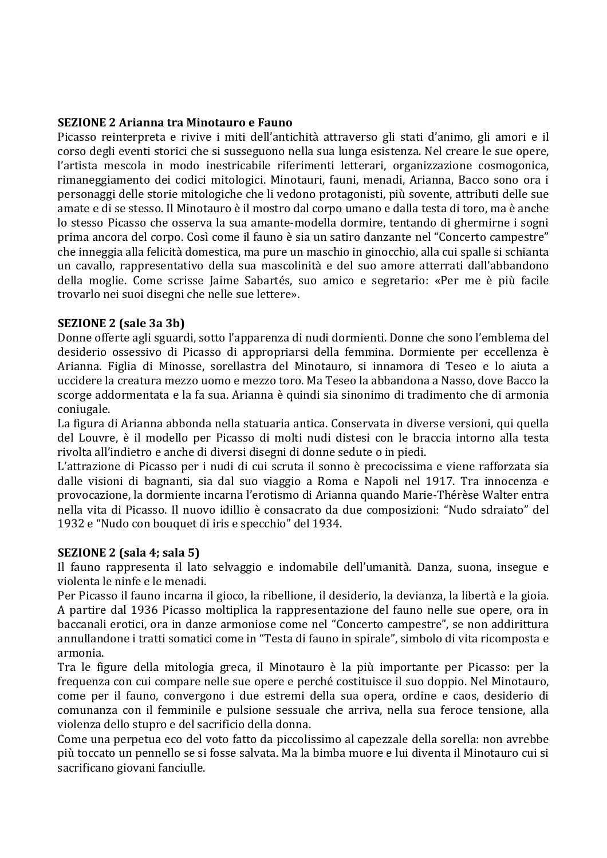#### **SEZIONE 2 Arianna tra Minotauro e Fauno**

Picasso reinterpreta e rivive i miti dell'antichità attraverso gli stati d'animo, gli amori e il corso degli eventi storici che si susseguono nella sua lunga esistenza. Nel creare le sue opere, l'artista mescola in modo inestricabile riferimenti letterari, organizzazione cosmogonica, rimaneggiamento dei codici mitologici. Minotauri, fauni, menadi, Arianna, Bacco sono ora i personaggi delle storie mitologiche che li vedono protagonisti, più sovente, attributi delle sue amate e di se stesso. Il Minotauro è il mostro dal corpo umano e dalla testa di toro, ma è anche lo stesso Picasso che osserva la sua amante-modella dormire, tentando di ghermirne i sogni prima ancora del corpo. Così come il fauno è sia un satiro danzante nel "Concerto campestre" che inneggia alla felicità domestica, ma pure un maschio in ginocchio, alla cui spalle si schianta un cavallo, rappresentativo della sua mascolinità e del suo amore atterrati dall'abbandono della moglie. Come scrisse Jaime Sabartés, suo amico e segretario: «Per me è più facile trovarlo nei suoi disegni che nelle sue lettere».

#### **SEZIONE 2 (sale 3a 3b)**

Donne offerte agli sguardi, sotto l'apparenza di nudi dormienti. Donne che sono l'emblema del desiderio ossessivo di Picasso di appropriarsi della femmina. Dormiente per eccellenza è Arianna. Figlia di Minosse, sorellastra del Minotauro, si innamora di Teseo e lo aiuta a uccidere la creatura mezzo uomo e mezzo toro. Ma Teseo la abbandona a Nasso, dove Bacco la scorge addormentata e la fa sua. Arianna è quindi sia sinonimo di tradimento che di armonia coniugale.

La figura di Arianna abbonda nella statuaria antica. Conservata in diverse versioni, qui quella del Louvre, è il modello per Picasso di molti nudi distesi con le braccia intorno alla testa rivolta all'indietro e anche di diversi disegni di donne sedute o in piedi.

L'attrazione di Picasso per i nudi di cui scruta il sonno è precocissima e viene rafforzata sia dalle visioni di bagnanti, sia dal suo viaggio a Roma e Napoli nel 1917. Tra innocenza e provocazione, la dormiente incarna l'erotismo di Arianna quando Marie-Thérèse Walter entra nella vita di Picasso. Il nuovo idillio è consacrato da due composizioni: "Nudo sdraiato" del 1932 e "Nudo con bouquet di iris e specchio" del 1934.

## SEZIONE 2 (sala 4; sala 5)

Il fauno rappresenta il lato selvaggio e indomabile dell'umanità. Danza, suona, insegue e violenta le ninfe e le menadi.

Per Picasso il fauno incarna il gioco, la ribellione, il desiderio, la devianza, la libertà e la gioia. A partire dal 1936 Picasso moltiplica la rappresentazione del fauno nelle sue opere, ora in baccanali erotici, ora in danze armoniose come nel "Concerto campestre", se non addirittura annullandone i tratti somatici come in "Testa di fauno in spirale", simbolo di vita ricomposta e armonia.

Tra le figure della mitologia greca, il Minotauro è la più importante per Picasso: per la frequenza con cui compare nelle sue opere e perché costituisce il suo doppio. Nel Minotauro, come per il fauno, convergono i due estremi della sua opera, ordine e caos, desiderio di comunanza con il femminile e pulsione sessuale che arriva, nella sua feroce tensione, alla violenza dello stupro e del sacrificio della donna.

Come una perpetua eco del voto fatto da piccolissimo al capezzale della sorella: non avrebbe più toccato un pennello se si fosse salvata. Ma la bimba muore e lui diventa il Minotauro cui si sacrificano giovani fanciulle.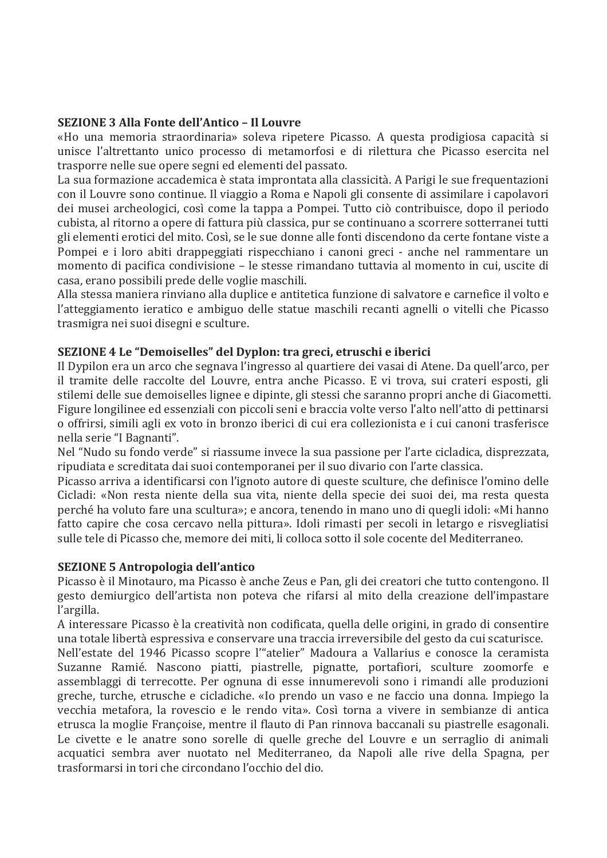## **SEZIONE 3 Alla Fonte dell'Antico - Il Louvre**

«Ho una memoria straordinaria» soleva ripetere Picasso. A questa prodigiosa capacità si unisce l'altrettanto unico processo di metamorfosi e di rilettura che Picasso esercita nel trasporre nelle sue opere segni ed elementi del passato.

La sua formazione accademica è stata improntata alla classicità. A Parigi le sue frequentazioni con il Louvre sono continue. Il viaggio a Roma e Napoli gli consente di assimilare i capolavori dei musei archeologici, così come la tappa a Pompei. Tutto ciò contribuisce, dopo il periodo cubista, al ritorno a opere di fattura più classica, pur se continuano a scorrere sotterranei tutti gli elementi erotici del mito. Così, se le sue donne alle fonti discendono da certe fontane viste a Pompei e i loro abiti drappeggiati rispecchiano i canoni greci - anche nel rammentare un momento di pacifica condivisione – le stesse rimandano tuttavia al momento in cui, uscite di casa, erano possibili prede delle voglie maschili.

Alla stessa maniera rinviano alla duplice e antitetica funzione di salvatore e carnefice il volto e l'atteggiamento ieratico e ambiguo delle statue maschili recanti agnelli o vitelli che Picasso trasmigra nei suoi disegni e sculture.

# SEZIONE 4 Le "Demoiselles" del Dyplon: tra greci, etruschi e iberici

Il Dypilon era un arco che segnava l'ingresso al quartiere dei vasai di Atene. Da quell'arco, per il tramite delle raccolte del Louvre, entra anche Picasso. E vi trova, sui crateri esposti, gli stilemi delle sue demoiselles lignee e dipinte, gli stessi che saranno propri anche di Giacometti. Figure longilinee ed essenziali con piccoli seni e braccia volte verso l'alto nell'atto di pettinarsi o offrirsi, simili agli ex voto in bronzo iberici di cui era collezionista e i cui canoni trasferisce nella serie "I Bagnanti".

Nel "Nudo su fondo verde" si riassume invece la sua passione per l'arte cicladica, disprezzata, ripudiata e screditata dai suoi contemporanei per il suo divario con l'arte classica.

Picasso arriva a identificarsi con l'ignoto autore di queste sculture, che definisce l'omino delle Cicladi: «Non resta niente della sua vita, niente della specie dei suoi dei, ma resta questa perché ha voluto fare una scultura»: e ancora, tenendo in mano uno di quegli idoli: «Mi hanno fatto capire che cosa cercavo nella pittura». Idoli rimasti per secoli in letargo e risvegliatisi sulle tele di Picasso che, memore dei miti, li colloca sotto il sole cocente del Mediterraneo.

## **SEZIONE 5 Antropologia dell'antico**

Picasso è il Minotauro, ma Picasso è anche Zeus e Pan, gli dei creatori che tutto contengono. Il gesto demiurgico dell'artista non poteva che rifarsi al mito della creazione dell'impastare l'argilla.

A interessare Picasso è la creatività non codificata, quella delle origini, in grado di consentire una totale libertà espressiva e conservare una traccia irreversibile del gesto da cui scaturisce.

Nell'estate del 1946 Picasso scopre l'"atelier" Madoura a Vallarius e conosce la ceramista Suzanne Ramié. Nascono piatti, piastrelle, pignatte, portafiori, sculture zoomorfe e assemblaggi di terrecotte. Per ognuna di esse innumerevoli sono i rimandi alle produzioni greche, turche, etrusche e cicladiche. «Io prendo un vaso e ne faccio una donna. Impiego la vecchia metafora, la rovescio e le rendo vita». Così torna a vivere in sembianze di antica etrusca la moglie Françoise, mentre il flauto di Pan rinnova baccanali su piastrelle esagonali. Le civette e le anatre sono sorelle di quelle greche del Louvre e un serraglio di animali acquatici sembra aver nuotato nel Mediterraneo, da Napoli alle rive della Spagna, per trasformarsi in tori che circondano l'occhio del dio.